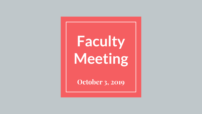# **Faculty Meeting**

**October 3, 2019**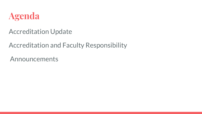

Accreditation Update

Accreditation and Faculty Responsibility

Announcements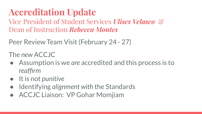## **Accreditation Update**

Vice President of Student Services *Ulises Velasco* & Dean of Instruction *Rebecca Montes*

Peer Review Team Visit (February 24 - 27)

The *new* ACCJC

- Assumption is we *are* accredited and this process is to *reaffirm*
- *●* It is not *punitive*
- Identifying *alignment with* the Standards
- ACCJC Liaison: VP Gohar Momjiam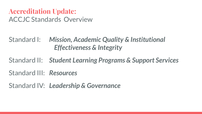#### **Accreditation Update:**  ACCJC Standards Overview

Standard I: *Mission, Academic Quality & Institutional Effectiveness & Integrity*

Standard II: *Student Learning Programs & Support Services*

Standard III: *Resources*

Standard IV: *Leadership & Governance*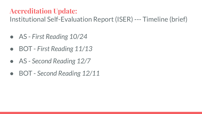#### **Accreditation Update:**

Institutional Self-Evaluation Report (ISER) --- Timeline (brief)

- AS *First Reading 10/24*
- BOT *First Reading 11/13*
- AS *Second Reading 12/7*
- BOT *Second Reading 12/11*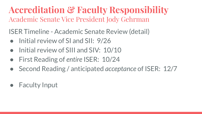**Accreditation & Faculty Responsibility** Academic Senate Vice President Jody Gehrman

ISER Timeline - Academic Senate Review (detail)

- Initial review of SI and SII: 9/26
- Initial review of SIII and SIV: 10/10
- First Reading of *entire* ISER: 10/24
- Second Reading / anticipated *acceptance* of ISER: 12/7
- Faculty Input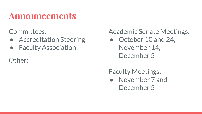### **Announcements**

Committees:

- Accreditation Steering
- Faculty Association

Other:

Academic Senate Meetings:

• October 10 and 24; November 14; December 5

Faculty Meetings:

● November 7 and December 5